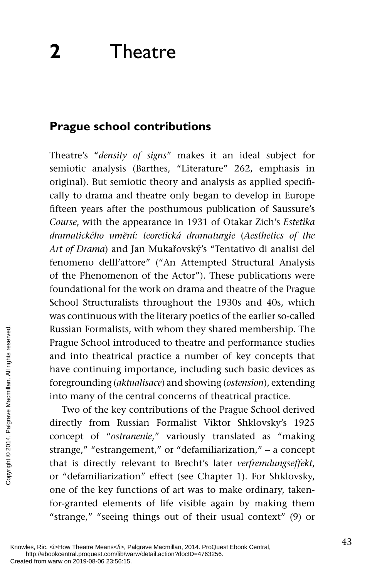# **Prague school contributions**

Theatre's " *density of signs*" makes it an ideal subject for semiotic analysis (Barthes, "Literature" 262, emphasis in original). But semiotic theory and analysis as applied specifically to drama and theatre only began to develop in Europe fifteen years after the posthumous publication of Saussure's *Course*, with the appearance in 1931 of Otakar Zich's *Estetika dramatického umĕní: teoretická dramaturgie* ( *Aesthetics of the Art of Drama*) and Jan Mukařovský's "Tentativo di analisi del fenomeno delll'attore" ("An Attempted Structural Analysis of the Phenomenon of the Actor"). These publications were foundational for the work on drama and theatre of the Prague School Structuralists throughout the 1930s and 40s, which was continuous with the literary poetics of the earlier so-called Russian Formalists, with whom they shared membership. The Prague School introduced to theatre and performance studies and into theatrical practice a number of key concepts that have continuing importance, including such basic devices as foregrounding ( *aktualisace*) and showing ( *ostension*), extending into many of the central concerns of theatrical practice.

Two of the key contributions of the Prague School derived directly from Russian Formalist Viktor Shklovsky's 1925 concept of "ostranenie," variously translated as "making strange," "estrangement," or "defamiliarization," – a concept that is directly relevant to Brecht's later *verfremdungseffekt*, or "defamiliarization" effect (see Chapter 1). For Shklovsky, one of the key functions of art was to make ordinary, takenfor-granted elements of life visible again by making them "strange," "seeing things out of their usual context" (9) or Russian Formalists,<br>
Prague School intro<br>
and into theatrical<br>
have continuing in<br>
foregrounding *(aktu*<br>
into many of the ce<br>
Two of the key<br>
directly from Rus<br>
concept of "ostran<br>
strange," "estrange<br>
that is directly re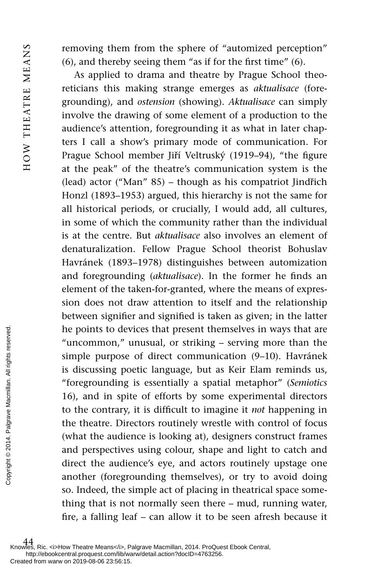removing them from the sphere of "automized perception"  $(6)$ , and thereby seeing them "as if for the first time"  $(6)$ .

As applied to drama and theatre by Prague School theoreticians this making strange emerges as *aktualisace* (foregrounding), and *ostension* (showing). *Aktualisace* can simply involve the drawing of some element of a production to the audience's attention, foregrounding it as what in later chapters I call a show's primary mode of communication. For Prague School member Jiří Veltruský (1919–94), "the figure at the peak" of the theatre's communication system is the (lead) actor ("Man" 85) – though as his compatriot Jindřich Honzl (1893–1953) argued, this hierarchy is not the same for all historical periods, or crucially, I would add, all cultures, in some of which the community rather than the individual is at the centre. But *aktualisace* also involves an element of denaturalization. Fellow Prague School theorist Bohuslav Havránek (1893–1978) distinguishes between automization and foregrounding (*aktualisace*). In the former he finds an element of the taken-for-granted, where the means of expression does not draw attention to itself and the relationship between signifier and signified is taken as given; in the latter he points to devices that present themselves in ways that are "uncommon," unusual, or striking – serving more than the simple purpose of direct communication (9–10). Havránek is discussing poetic language, but as Keir Elam reminds us, "foregrounding is essentially a spatial metaphor" ( *Semiotics* 16), and in spite of efforts by some experimental directors to the contrary, it is difficult to imagine it *not* happening in the theatre. Directors routinely wrestle with control of focus (what the audience is looking at), designers construct frames and perspectives using colour, shape and light to catch and direct the audience's eye, and actors routinely upstage one another (foregrounding themselves), or try to avoid doing so. Indeed, the simple act of placing in theatrical space something that is not normally seen there – mud, running water, fire, a falling leaf – can allow it to be seen afresh because it From the points to dev<br>
"uncommon," i<br>
simple purpose<br>
is discussing po<br>
"foregrounding<br>
16), and in spit<br>
to the contrary,<br>
the theatre. Direction<br>
(what the audie and perspective<br>
and perspective<br>
direct the audie<br>
anot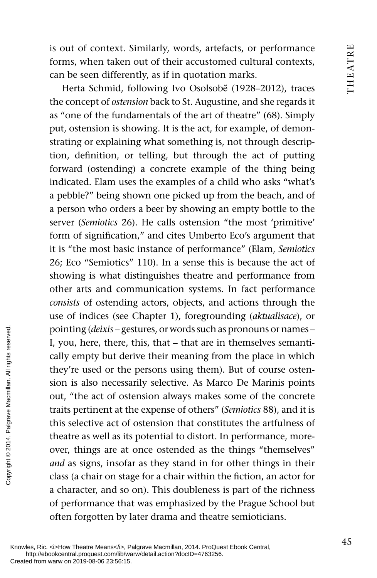is out of context. Similarly, words, artefacts, or performance forms, when taken out of their accustomed cultural contexts, can be seen differently, as if in quotation marks.

Herta Schmid, following Ivo Osolsobĕ (1928–2012), traces the concept of *ostension* back to St. Augustine, and she regards it as "one of the fundamentals of the art of theatre" (68). Simply put, ostension is showing. It is the act, for example, of demonstrating or explaining what something is, not through description, definition, or telling, but through the act of putting forward (ostending) a concrete example of the thing being indicated. Elam uses the examples of a child who asks "what's a pebble?" being shown one picked up from the beach, and of a person who orders a beer by showing an empty bottle to the server (*Semiotics* 26). He calls ostension "the most 'primitive' form of signification," and cites Umberto Eco's argument that it is "the most basic instance of performance" (Elam, *Semiotics* 26; Eco "Semiotics" 110). In a sense this is because the act of showing is what distinguishes theatre and performance from other arts and communication systems. In fact performance *consists* of ostending actors, objects, and actions through the use of indices (see Chapter 1), foregrounding (*aktualisace*), or pointing ( *deixis* – gestures, or words such as pronouns or names – I, you, here, there, this, that – that are in themselves semantically empty but derive their meaning from the place in which they're used or the persons using them). But of course ostension is also necessarily selective. As Marco De Marinis points out, "the act of ostension always makes some of the concrete traits pertinent at the expense of others" ( *Semiotics* 88), and it is this selective act of ostension that constitutes the artfulness of theatre as well as its potential to distort. In performance, moreover, things are at once ostended as the things "themselves" *and* as signs, insofar as they stand in for other things in their class (a chair on stage for a chair within the fiction, an actor for a character, and so on). This doubleness is part of the richness of performance that was emphasized by the Prague School but often forgotten by later drama and theatre semioticians. Pointing (*deixis* – ge:<br>
L, you, here, there,<br>
cally empty but der<br>
they're used or the<br>
sion is also necessa<br>
out, "the act of ost<br>
traits pertinent at the this selective act of<br>
theatre as well as its<br>
over, things are

Knowles, Ric. <i>How Theatre Means</i>, Palgrave Macmillan, 2014. ProQuest Ebook Central, http://ebookcentral.proquest.com/lib/warw/detail.action?docID=4763256.<br>Created from warw on 2019-08-06 23:56:15.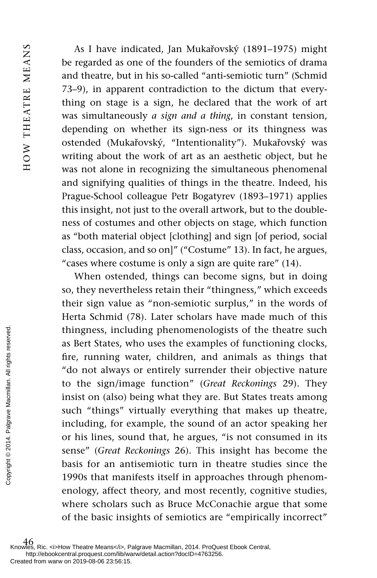As I have indicated, Jan Mukařovský (1891–1975) might be regarded as one of the founders of the semiotics of drama and theatre, but in his so-called "anti-semiotic turn" (Schmid 73–9), in apparent contradiction to the dictum that everything on stage is a sign, he declared that the work of art was simultaneously *a sign and a thing*, in constant tension, depending on whether its sign-ness or its thingness was ostended (Mukařovský, "Intentionality"). Mukařovský was writing about the work of art as an aesthetic object, but he was not alone in recognizing the simultaneous phenomenal and signifying qualities of things in the theatre. Indeed, his Prague-School colleague Petr Bogatyrev (1893–1971) applies this insight, not just to the overall artwork, but to the doubleness of costumes and other objects on stage, which function as "both material object [clothing] and sign [of period, social class, occasion, and so on]" ("Costume" 13). In fact, he argues, "cases where costume is only a sign are quite rare" (14).

When ostended, things can become signs, but in doing so, they nevertheless retain their "thingness," which exceeds their sign value as "non-semiotic surplus," in the words of Herta Schmid (78). Later scholars have made much of this thingness, including phenomenologists of the theatre such as Bert States, who uses the examples of functioning clocks, fire, running water, children, and animals as things that "do not always or entirely surrender their objective nature to the sign/image function" ( *Great Reckonings* 29). They insist on (also) being what they are. But States treats among such "things" virtually everything that makes up theatre, including, for example, the sound of an actor speaking her or his lines, sound that, he argues, "is not consumed in its sense" ( *Great Reckonings* 26). This insight has become the basis for an antisemiotic turn in theatre studies since the 1990s that manifests itself in approaches through phenomenology, affect theory, and most recently, cognitive studies, where scholars such as Bruce McConachie argue that some of the basic insights of semiotics are "empirically incorrect" The set of the signal and the signal of the signal and the signal of the signal and the signal of the signal reserved.<br>
Experimental and the signal palace of the signal palace of the signal of the copyright of the basic f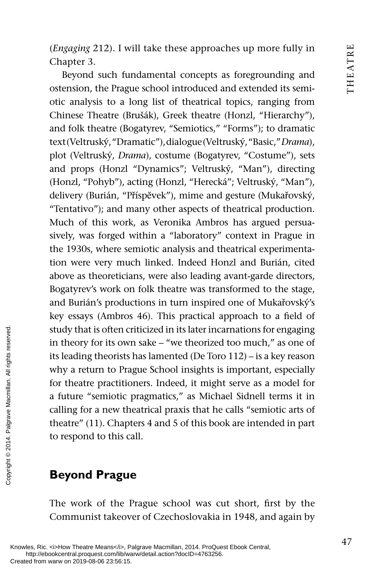( *Engaging* 212). I will take these approaches up more fully in Chapter 3.

Beyond such fundamental concepts as foregrounding and ostension, the Prague school introduced and extended its semiotic analysis to a long list of theatrical topics, ranging from Chinese Theatre (Brušák), Greek theatre (Honzl, "Hierarchy"), and folk theatre (Bogatyrev, "Semiotics," "Forms"); to dramatic text (Veltruský, "Dramatic"), dialogue (Veltruský, "Basic," *Drama*), plot (Veltruský, *Drama*), costume (Bogatyrev, "Costume"), sets and props (Honzl "Dynamics"; Veltruský, "Man"), directing (Honzl, "Pohyb"), acting (Honzl, "Herecká"; Veltruský, "Man"), delivery (Burián, "Příspĕvek"), mime and gesture (Mukařovský, "Tentativo"); and many other aspects of theatrical production. Much of this work, as Veronika Ambros has argued persuasively, was forged within a "laboratory" context in Prague in the 1930s, where semiotic analysis and theatrical experimentation were very much linked. Indeed Honzl and Burián, cited above as theoreticians, were also leading avant-garde directors, Bogatyrev's work on folk theatre was transformed to the stage, and Burián's productions in turn inspired one of Mukařovský's key essays (Ambros 46). This practical approach to a field of study that is often criticized in its later incarnations for engaging in theory for its own sake – "we theorized too much," as one of its leading theorists has lamented (De Toro 112) – is a key reason why a return to Prague School insights is important, especially for theatre practitioners. Indeed, it might serve as a model for a future "semiotic pragmatics," as Michael Sidnell terms it in calling for a new theatrical praxis that he calls "semiotic arts of theatre" (11). Chapters 4 and 5 of this book are intended in part to respond to this call. Study that is often circles<br>
in theory for its own<br>
its leading theorists<br>
why a return to Pra<br>
for theatre practitic<br>
a future "semiotic j<br>
calling for a new the<br>
theatre" (11). Chapt<br>
to respond to this call<br>
served.<br>

# **Beyond Prague**

The work of the Prague school was cut short, first by the Communist takeover of Czechoslovakia in 1948, and again by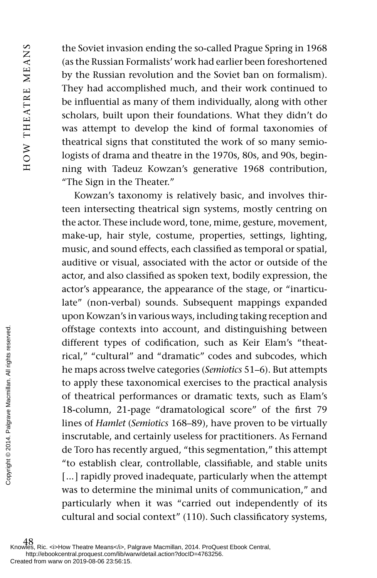HOW THEATRE MEANS HOW THEATRE MEANS

the Soviet invasion ending the so-called Prague Spring in 1968 (as the Russian Formalists' work had earlier been foreshortened by the Russian revolution and the Soviet ban on formalism). They had accomplished much, and their work continued to be influential as many of them individually, along with other scholars, built upon their foundations. What they didn't do was attempt to develop the kind of formal taxonomies of theatrical signs that constituted the work of so many semiologists of drama and theatre in the 1970s, 80s, and 90s, beginning with Tadeuz Kowzan's generative 1968 contribution, "The Sign in the Theater."

Kowzan's taxonomy is relatively basic, and involves thirteen intersecting theatrical sign systems, mostly centring on the actor. These include word, tone, mime, gesture, movement, make-up, hair style, costume, properties, settings, lighting, music, and sound effects, each classified as temporal or spatial, auditive or visual, associated with the actor or outside of the actor, and also classified as spoken text, bodily expression, the actor's appearance, the appearance of the stage, or "inarticulate" (non-verbal) sounds. Subsequent mappings expanded upon Kowzan's in various ways, including taking reception and offstage contexts into account, and distinguishing between different types of codification, such as Keir Elam's "theatrical," "cultural" and "dramatic" codes and subcodes, which he maps across twelve categories ( *Semiotics* 51–6). But attempts to apply these taxonomical exercises to the practical analysis of theatrical performances or dramatic texts, such as Elam's 18-column, 21-page "dramatological score" of the first 79 lines of *Hamlet* ( *Semiotics* 168–89), have proven to be virtually inscrutable, and certainly useless for practitioners. As Fernand de Toro has recently argued, "this segmentation," this attempt "to establish clear, controllable, classifiable, and stable units [...] rapidly proved inadequate, particularly when the attempt was to determine the minimal units of communication," and particularly when it was "carried out independently of its cultural and social context" (110). Such classificatory systems, From examples are different types rical," "cultural"<br>
the maps across the comply these that<br>
to apply these that of the actrical perpendence of the actrical perpendence<br>  $\frac{1}{2}$  are  $\frac{1}{2}$  are  $\frac{1}{2}$  and the Toro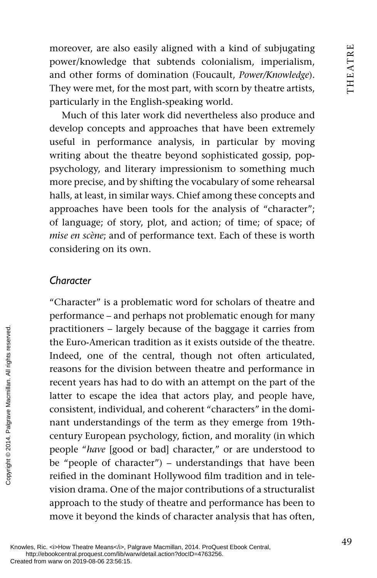moreover, are also easily aligned with a kind of subjugating power/knowledge that subtends colonialism, imperialism, and other forms of domination (Foucault, *Power/Knowledge* ). They were met, for the most part, with scorn by theatre artists, particularly in the English-speaking world.

Much of this later work did nevertheless also produce and develop concepts and approaches that have been extremely useful in performance analysis, in particular by moving writing about the theatre beyond sophisticated gossip, poppsychology, and literary impressionism to something much more precise, and by shifting the vocabulary of some rehearsal halls, at least, in similar ways. Chief among these concepts and approaches have been tools for the analysis of "character"; of language; of story, plot, and action; of time; of space; of *mise en scène*; and of performance text. Each of these is worth considering on its own.

### *Character*

"Character" is a problematic word for scholars of theatre and performance – and perhaps not problematic enough for many practitioners – largely because of the baggage it carries from the Euro-American tradition as it exists outside of the theatre. Indeed, one of the central, though not often articulated, reasons for the division between theatre and performance in recent years has had to do with an attempt on the part of the latter to escape the idea that actors play, and people have, consistent, individual, and coherent "characters" in the dominant understandings of the term as they emerge from 19thcentury European psychology, fiction, and morality (in which people " *have* [good or bad] character," or are understood to be "people of character") – understandings that have been reified in the dominant Hollywood film tradition and in television drama. One of the major contributions of a structuralist approach to the study of theatre and performance has been to move it beyond the kinds of character analysis that has often, practitioners – large<br>the Euro-American<br>Indeed, one of the divergences of the divergences of the divergences<br>reserved. The consistent, individue mant understanding<br>the consistent, individue mant understanding<br>prople "have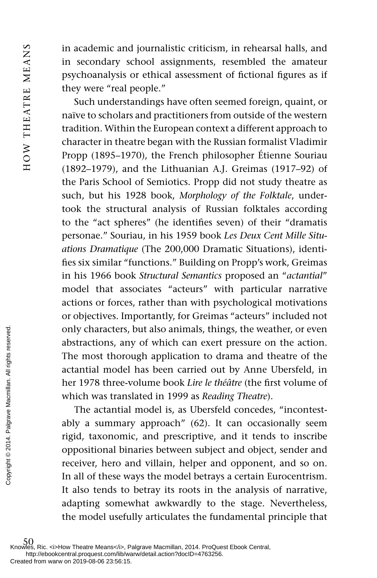in academic and journalistic criticism, in rehearsal halls, and in secondary school assignments, resembled the amateur psychoanalysis or ethical assessment of fictional figures as if they were "real people."

Such understandings have often seemed foreign, quaint, or naïve to scholars and practitioners from outside of the western tradition. Within the European context a different approach to character in theatre began with the Russian formalist Vladimir Propp (1895–1970), the French philosopher Étienne Souriau (1892–1979), and the Lithuanian A.J. Greimas (1917–92) of the Paris School of Semiotics. Propp did not study theatre as such, but his 1928 book, *Morphology of the Folktale*, undertook the structural analysis of Russian folktales according to the "act spheres" (he identifies seven) of their "dramatis personae." Souriau, in his 1959 book *Les Deux Cent Mille Situations Dramatique* (The 200,000 Dramatic Situations), identifies six similar "functions." Building on Propp's work, Greimas in his 1966 book *Structural Semantics* proposed an " *actantial* " model that associates "acteurs" with particular narrative actions or forces, rather than with psychological motivations or objectives. Importantly, for Greimas "acteurs" included not only characters, but also animals, things, the weather, or even abstractions, any of which can exert pressure on the action. The most thorough application to drama and theatre of the actantial model has been carried out by Anne Ubersfeld, in her 1978 three-volume book *Lire le théâtre* (the first volume of which was translated in 1999 as *Reading Theatre*).

The actantial model is, as Ubersfeld concedes, "incontestably a summary approach" (62). It can occasionally seem rigid, taxonomic, and prescriptive, and it tends to inscribe oppositional binaries between subject and object, sender and receiver, hero and villain, helper and opponent, and so on. In all of these ways the model betrays a certain Eurocentrism. It also tends to betray its roots in the analysis of narrative, adapting somewhat awkwardly to the stage. Nevertheless, the model usefully articulates the fundamental principle that From the most thorough<br>  $\frac{1}{2}$  and  $\frac{1}{2}$  and  $\frac{1}{2}$  and  $\frac{1}{2}$  and  $\frac{1}{2}$  and  $\frac{1}{2}$  and  $\frac{1}{2}$  and  $\frac{1}{2}$  and  $\frac{1}{2}$  and  $\frac{1}{2}$  and  $\frac{1}{2}$  and  $\frac{1}{2}$  and  $\frac{1}{2}$  and  $\frac{1}{2}$  and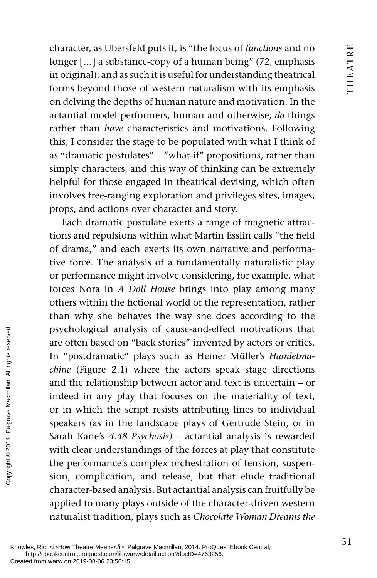character, as Ubersfeld puts it, is "the locus of *functions* and no longer [...] a substance-copy of a human being" (72, emphasis in original), and as such it is useful for understanding theatrical forms beyond those of western naturalism with its emphasis on delving the depths of human nature and motivation. In the actantial model performers, human and otherwise, *do* things rather than *have* characteristics and motivations. Following this, I consider the stage to be populated with what I think of as "dramatic postulates" – "what-if" propositions, rather than simply characters, and this way of thinking can be extremely helpful for those engaged in theatrical devising, which often involves free-ranging exploration and privileges sites, images, props, and actions over character and story.

Each dramatic postulate exerts a range of magnetic attractions and repulsions within what Martin Esslin calls "the field of drama," and each exerts its own narrative and performative force. The analysis of a fundamentally naturalistic play or performance might involve considering, for example, what forces Nora in *A Doll House* brings into play among many others within the fictional world of the representation, rather than why she behaves the way she does according to the psychological analysis of cause-and-effect motivations that are often based on "back stories" invented by actors or critics. In "postdramatic" plays such as Heiner Müller's *Hamletmachine* (Figure 2.1) where the actors speak stage directions and the relationship between actor and text is uncertain – or indeed in any play that focuses on the materiality of text, or in which the script resists attributing lines to individual speakers (as in the landscape plays of Gertrude Stein, or in Sarah Kane's *4.48 Psychosis)* – actantial analysis is rewarded with clear understandings of the forces at play that constitute the performance's complex orchestration of tension, suspension, complication, and release, but that elude traditional character-based analysis. But actantial analysis can fruitfully be applied to many plays outside of the character-driven western naturalist tradition, plays such as *Chocolate Woman Dreams the* psychological anal<br>
are often based on<br>
In "postdramatic"<br>
chine (Figure 2.1)<br>
and the relationshi<br>
indeed in any play<br>
or in which the sc<br>
speakers (as in the<br>
Sarah Kane's 4.48<br>
with clear understa<br>
the performance's<br>
d

Knowles, Ric. <i>How Theatre Means</i>, Palgrave Macmillan, 2014. ProQuest Ebook Central, http://ebookcentral.proquest.com/lib/warw/detail.action?docID=4763256.<br>Created from warw on 2019-08-06 23:56:15.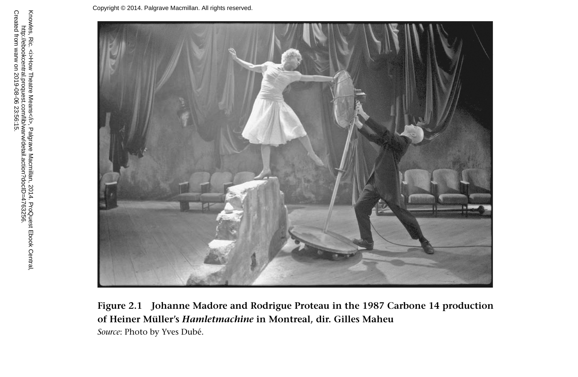

**Figure 2.1 Johanne Madore and Rodrigue Proteau in the 1987 Carbone 14 production of Heiner Müller's** *Hamletmachine* **in Montreal, dir. Gilles Maheu**   *Source*: Photo by Yves Dubé.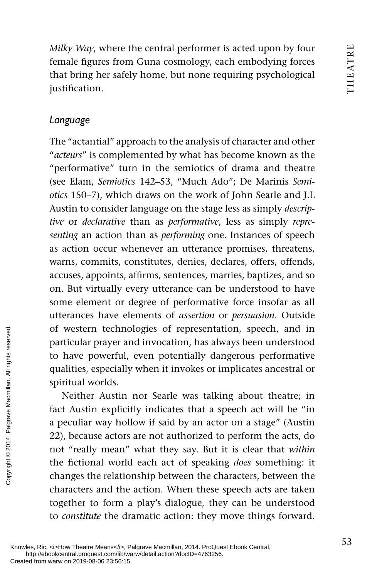*Milky Way*, where the central performer is acted upon by four female figures from Guna cosmology, each embodying forces that bring her safely home, but none requiring psychological justification.

## *Language*

The "actantial" approach to the analysis of character and other " *acteurs*" is complemented by what has become known as the "performative" turn in the semiotics of drama and theatre (see Elam, *Semiotics* 142–53, "Much Ado"; De Marinis *Semiotics* 150–7), which draws on the work of John Searle and J.L Austin to consider language on the stage less as simply *descriptive* or *declarative* than as *performative*, less as simply *representing* an action than as *performing* one. Instances of speech as action occur whenever an utterance promises, threatens, warns, commits, constitutes, denies, declares, offers, offends, accuses, appoints, affirms, sentences, marries, baptizes, and so on. But virtually every utterance can be understood to have some element or degree of performative force insofar as all utterances have elements of *assertion* or *persuasion*. Outside of western technologies of representation, speech, and in particular prayer and invocation, has always been understood to have powerful, even potentially dangerous performative qualities, especially when it invokes or implicates ancestral or spiritual worlds.

Neither Austin nor Searle was talking about theatre; in fact Austin explicitly indicates that a speech act will be "in a peculiar way hollow if said by an actor on a stage" (Austin 22), because actors are not authorized to perform the acts, do not "really mean" what they say. But it is clear that *within* the fictional world each act of speaking *does* something: it changes the relationship between the characters, between the characters and the action. When these speech acts are taken together to form a play's dialogue, they can be understood to *constitute* the dramatic action: they move things forward. From the computer of western technom<br>
particular prayer ar<br>
to have powerful,<br>
qualities, especially<br>
spiritual worlds.<br>
Neither Austin<br>
fact Austin explicit<br>
a peculiar way holl<br>
22), because actors<br>
not "really mean"<br>
th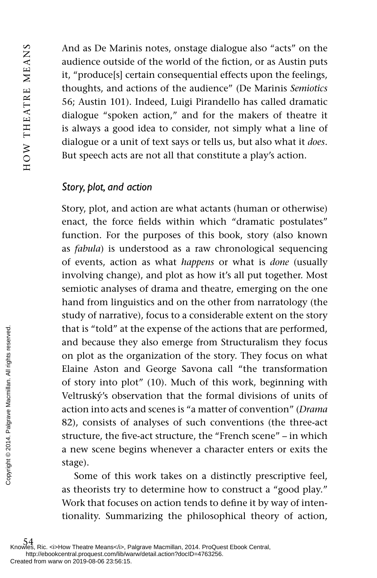And as De Marinis notes, onstage dialogue also "acts" on the audience outside of the world of the fiction, or as Austin puts it, "produce[s] certain consequential effects upon the feelings, thoughts, and actions of the audience" (De Marinis *Semiotics* 56; Austin 101). Indeed, Luigi Pirandello has called dramatic dialogue "spoken action," and for the makers of theatre it is always a good idea to consider, not simply what a line of dialogue or a unit of text says or tells us, but also what it *does* . But speech acts are not all that constitute a play's action.

### *Story, plot, and action*

Story, plot, and action are what actants (human or otherwise) enact, the force fields within which "dramatic postulates" function. For the purposes of this book, story (also known as *fabula*) is understood as a raw chronological sequencing of events, action as what *happens* or what is *done* (usually involving change), and plot as how it's all put together. Most semiotic analyses of drama and theatre, emerging on the one hand from linguistics and on the other from narratology (the study of narrative), focus to a considerable extent on the story that is "told" at the expense of the actions that are performed, and because they also emerge from Structuralism they focus on plot as the organization of the story. They focus on what Elaine Aston and George Savona call "the transformation of story into plot" (10). Much of this work, beginning with Veltruský's observation that the formal divisions of units of action into acts and scenes is "a matter of convention" ( *Drama* 82), consists of analyses of such conventions (the three-act structure, the five-act structure, the "French scene" – in which a new scene begins whenever a character enters or exits the stage). From external palace the strongent of this as the origins of the strongent of the strongent of the strategy of the strategy.<br>
See the structure, the five a new scene beg stage).<br>
Some of this as theorists ry t Work that f

Some of this work takes on a distinctly prescriptive feel, as theorists try to determine how to construct a "good play." Work that focuses on action tends to define it by way of intentionality. Summarizing the philosophical theory of action,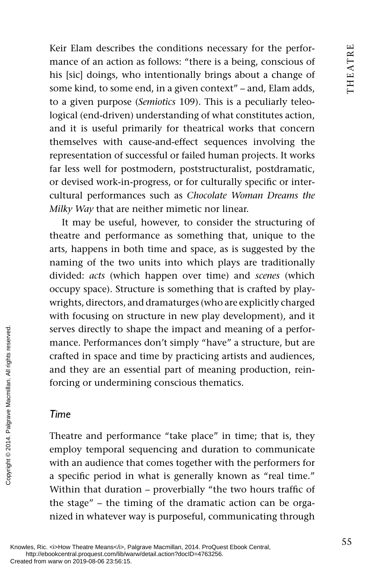Keir Elam describes the conditions necessary for the performance of an action as follows: "there is a being, conscious of his [sic] doings, who intentionally brings about a change of some kind, to some end, in a given context" – and, Elam adds, to a given purpose ( *Semiotics* 109). This is a peculiarly teleological (end-driven) understanding of what constitutes action, and it is useful primarily for theatrical works that concern themselves with cause-and-effect sequences involving the representation of successful or failed human projects. It works far less well for postmodern, poststructuralist, postdramatic, or devised work-in-progress, or for culturally specific or intercultural performances such as *Chocolate Woman Dreams the Milky Way* that are neither mimetic nor linear.

It may be useful, however, to consider the structuring of theatre and performance as something that, unique to the arts, happens in both time and space, as is suggested by the naming of the two units into which plays are traditionally divided: *acts* (which happen over time) and *scenes* (which occupy space). Structure is something that is crafted by playwrights, directors, and dramaturges (who are explicitly charged with focusing on structure in new play development), and it serves directly to shape the impact and meaning of a performance. Performances don't simply "have" a structure, but are crafted in space and time by practicing artists and audiences, and they are an essential part of meaning production, reinforcing or undermining conscious thematics.

### *Time*

Theatre and performance "take place" in time; that is, they employ temporal sequencing and duration to communicate with an audience that comes together with the performers for a specific period in what is generally known as "real time." Within that duration – proverbially "the two hours traffic of the stage" – the timing of the dramatic action can be organized in whatever way is purposeful, communicating through Exerces directly to sl<br>
mance. Performance<br>
crafted in space and<br>
and they are an es<br>
forcing or undermi<br> **Time**<br>
Time<br>
Theatre and perfor<br>
employ temporal s<br>
with an audience that<br>
a specific period ir<br>
Within that durat

Knowles, Ric. <i>How Theatre Means</i>, Palgrave Macmillan, 2014. ProQuest Ebook Central, http://ebookcentral.proquest.com/lib/warw/detail.action?docID=4763256.<br>Created from warw on 2019-08-06 23:56:15.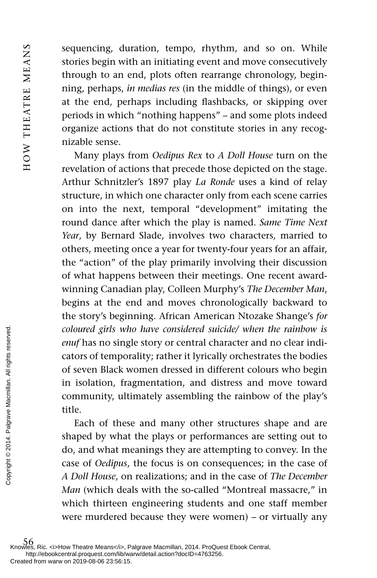sequencing, duration, tempo, rhythm, and so on. While stories begin with an initiating event and move consecutively through to an end, plots often rearrange chronology, beginning, perhaps, *in medias res* (in the middle of things), or even at the end, perhaps including flashbacks, or skipping over periods in which "nothing happens" – and some plots indeed organize actions that do not constitute stories in any recognizable sense.

Many plays from *Oedipus Rex* to *A Doll House* turn on the revelation of actions that precede those depicted on the stage. Arthur Schnitzler's 1897 play *La Ronde* uses a kind of relay structure, in which one character only from each scene carries on into the next, temporal "development" imitating the round dance after which the play is named. *Same Time Next Year*, by Bernard Slade, involves two characters, married to others, meeting once a year for twenty-four years for an affair, the "action" of the play primarily involving their discussion of what happens between their meetings. One recent awardwinning Canadian play, Colleen Murphy's *The December Man* , begins at the end and moves chronologically backward to the story's beginning. African American Ntozake Shange's *for coloured girls who have considered suicide/ when the rainbow is enuf* has no single story or central character and no clear indicators of temporality; rather it lyrically orchestrates the bodies of seven Black women dressed in different colours who begin in isolation, fragmentation, and distress and move toward community, ultimately assembling the rainbow of the play's title.

Each of these and many other structures shape and are shaped by what the plays or performances are setting out to do, and what meanings they are attempting to convey. In the case of *Oedipus*, the focus is on consequences; in the case of *A Doll House*, on realizations; and in the case of *The December Man* (which deals with the so-called "Montreal massacre," in which thirteen engineering students and one staff member were murdered because they were women) – or virtually any Created from warw on 2019-08-06 23:56:15.<br>
Created from warw on 2019-08-06 23:56:15.<br>
Created from warw on 2019-08-06 23:56:15.<br>
Created from warw on 2019-08-06 23:56:15.<br>
Created from warw on 2019-08-06 23:56:15.<br>
Created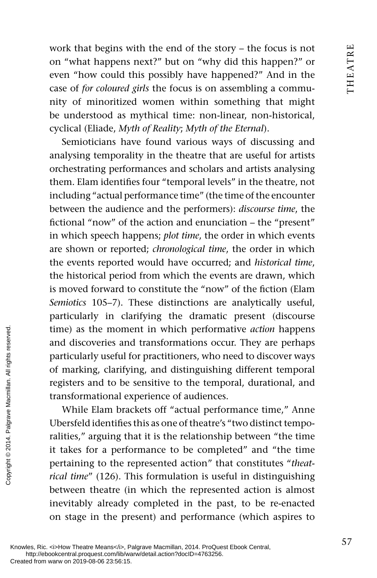work that begins with the end of the story – the focus is not on "what happens next?" but on "why did this happen?" or even "how could this possibly have happened?" And in the case of *for coloured girls* the focus is on assembling a community of minoritized women within something that might be understood as mythical time: non-linear, non-historical, cyclical (Eliade, *Myth of Reality*; *Myth of the Eternal*).

Semioticians have found various ways of discussing and analysing temporality in the theatre that are useful for artists orchestrating performances and scholars and artists analysing them. Elam identifies four "temporal levels" in the theatre, not including "actual performance time" (the time of the encounter between the audience and the performers): *discourse time*, the fictional "now" of the action and enunciation – the "present" in which speech happens; *plot time*, the order in which events are shown or reported; *chronological time*, the order in which the events reported would have occurred; and *historical time* , the historical period from which the events are drawn, which is moved forward to constitute the "now" of the fiction (Elam *Semiotics* 105–7). These distinctions are analytically useful, particularly in clarifying the dramatic present (discourse time) as the moment in which performative *action* happens and discoveries and transformations occur. They are perhaps particularly useful for practitioners, who need to discover ways of marking, clarifying, and distinguishing different temporal registers and to be sensitive to the temporal, durational, and transformational experience of audiences.

While Elam brackets off "actual performance time," Anne Ubersfeld identifies this as one of theatre's "two distinct temporalities," arguing that it is the relationship between "the time it takes for a performance to be completed" and "the time pertaining to the represented action" that constitutes " *theatrical time*" (126). This formulation is useful in distinguishing between theatre (in which the represented action is almost inevitably already completed in the past, to be re-enacted on stage in the present) and performance (which aspires to From and discoveries and particularly useful f<br>  $\frac{1}{2}$  of marking, clarify:<br>
registers and to be<br>
transformational ex<br>
While Elam brace<br>
Ubersfeld identifies<br>
railties," arguing th<br>
it takes for a perfc<br>
pertaining to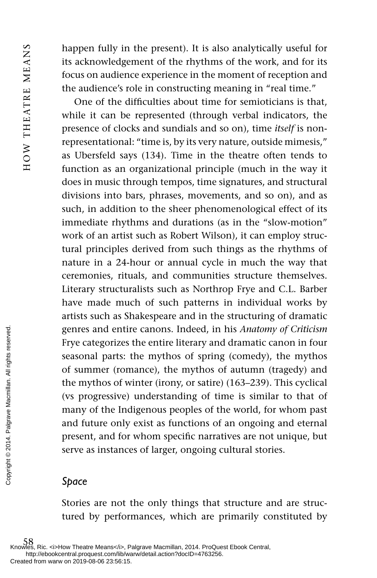happen fully in the present). It is also analytically useful for its acknowledgement of the rhythms of the work, and for its focus on audience experience in the moment of reception and the audience's role in constructing meaning in "real time."

One of the difficulties about time for semioticians is that. while it can be represented (through verbal indicators, the presence of clocks and sundials and so on), time *itself* is nonrepresentational: "time is, by its very nature, outside mimesis," as Ubersfeld says (134). Time in the theatre often tends to function as an organizational principle (much in the way it does in music through tempos, time signatures, and structural divisions into bars, phrases, movements, and so on), and as such, in addition to the sheer phenomenological effect of its immediate rhythms and durations (as in the "slow-motion" work of an artist such as Robert Wilson), it can employ structural principles derived from such things as the rhythms of nature in a 24-hour or annual cycle in much the way that ceremonies, rituals, and communities structure themselves. Literary structuralists such as Northrop Frye and C.L. Barber have made much of such patterns in individual works by artists such as Shakespeare and in the structuring of dramatic genres and entire canons. Indeed, in his *Anatomy of Criticism* Frye categorizes the entire literary and dramatic canon in four seasonal parts: the mythos of spring (comedy), the mythos of summer (romance), the mythos of autumn (tragedy) and the mythos of winter (irony, or satire) (163–239). This cyclical (vs progressive) understanding of time is similar to that of many of the Indigenous peoples of the world, for whom past and future only exist as functions of an ongoing and eternal present, and for whom specific narratives are not unique, but serve as instances of larger, ongoing cultural stories. Exercise the mythos of whom and parts: 1<br>
Exercise the mythos of whom the mythos of whole the mythos of whole the mythos of whole the many of the Indianal future only<br>
present, and for serve as instance<br>
and future only pr

### *Space*

Stories are not the only things that structure and are structured by performances, which are primarily constituted by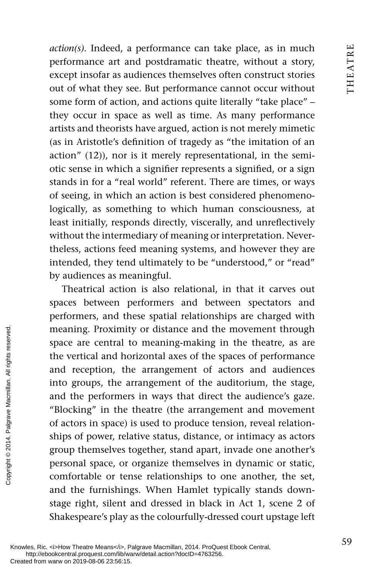*action(s).* Indeed, a performance can take place, as in much performance art and postdramatic theatre, without a story, except insofar as audiences themselves often construct stories out of what they see. But performance cannot occur without some form of action, and actions quite literally "take place" – they occur in space as well as time. As many performance artists and theorists have argued, action is not merely mimetic (as in Aristotle's definition of tragedy as "the imitation of an action" (12)), nor is it merely representational, in the semiotic sense in which a signifier represents a signified, or a sign stands in for a "real world" referent. There are times, or ways of seeing, in which an action is best considered phenomenologically, as something to which human consciousness, at least initially, responds directly, viscerally, and unreflectively without the intermediary of meaning or interpretation. Nevertheless, actions feed meaning systems, and however they are intended, they tend ultimately to be "understood," or "read" by audiences as meaningful.

Theatrical action is also relational, in that it carves out spaces between performers and between spectators and performers, and these spatial relationships are charged with meaning. Proximity or distance and the movement through space are central to meaning-making in the theatre, as are the vertical and horizontal axes of the spaces of performance and reception, the arrangement of actors and audiences into groups, the arrangement of the auditorium, the stage, and the performers in ways that direct the audience's gaze. "Blocking" in the theatre (the arrangement and movement of actors in space) is used to produce tension, reveal relationships of power, relative status, distance, or intimacy as actors group themselves together, stand apart, invade one another's personal space, or organize themselves in dynamic or static, comfortable or tense relationships to one another, the set, and the furnishings. When Hamlet typically stands downstage right, silent and dressed in black in Act 1, scene 2 of Shakespeare's play as the colourfully-dressed court upstage left The set of the vertical and hot and reception, the into groups, the and the performer "Blocking" in the of actors in space) is ships of power, relation of actors in space) is ships of power, relation of actors in space) i

Knowles, Ric. <i>How Theatre Means</i>, Palgrave Macmillan, 2014. ProQuest Ebook Central, http://ebookcentral.proquest.com/lib/warw/detail.action?docID=4763256.<br>Created from warw on 2019-08-06 23:56:15.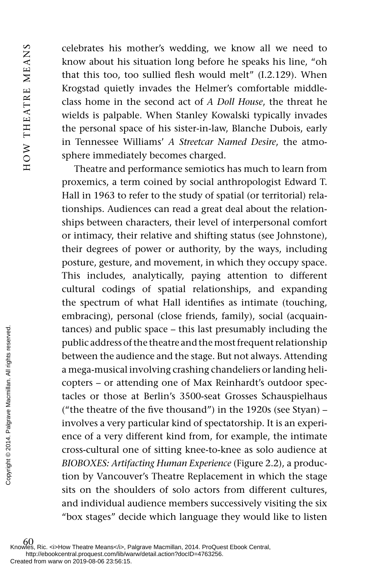HOW THEATRE MEANS HOW THEATRE MEANS

celebrates his mother's wedding, we know all we need to know about his situation long before he speaks his line, "oh that this too, too sullied flesh would melt"  $(I.2.129)$ . When Krogstad quietly invades the Helmer's comfortable middleclass home in the second act of *A Doll House*, the threat he wields is palpable. When Stanley Kowalski typically invades the personal space of his sister-in-law, Blanche Dubois, early in Tennessee Williams' *A Streetcar Named Desire*, the atmosphere immediately becomes charged.

Theatre and performance semiotics has much to learn from proxemics, a term coined by social anthropologist Edward T. Hall in 1963 to refer to the study of spatial (or territorial) relationships. Audiences can read a great deal about the relationships between characters, their level of interpersonal comfort or intimacy, their relative and shifting status (see Johnstone), their degrees of power or authority, by the ways, including posture, gesture, and movement, in which they occupy space. This includes, analytically, paying attention to different cultural codings of spatial relationships, and expanding the spectrum of what Hall identifies as intimate (touching, embracing), personal (close friends, family), social (acquaintances) and public space – this last presumably including the public address of the theatre and the most frequent relationship between the audience and the stage. But not always. Attending a mega-musical involving crashing chandeliers or landing helicopters – or attending one of Max Reinhardt's outdoor spectacles or those at Berlin's 3500-seat Grosses Schauspielhaus ("the theatre of the five thousand") in the  $1920s$  (see Styan) – involves a very particular kind of spectatorship. It is an experience of a very different kind from, for example, the intimate cross-cultural one of sitting knee-to-knee as solo audience at *BIOBOXES: Artifacting Human Experience* ( Figure 2.2 ), a production by Vancouver's Theatre Replacement in which the stage sits on the shoulders of solo actors from different cultures, and individual audience members successively visiting the six "box stages" decide which language they would like to listen From the and the served from warw on 2019-08-06 23:56:15.<br>
Experimentation of the served from the and the served from the served of the theatre of the served of the served consideration of the should consider the should c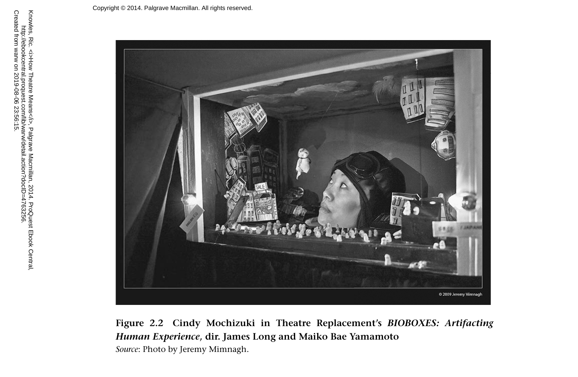

**Figure 2.2 Cindy Mochizuki in Theatre Replacement's** *BIOBOXES: Artifacting Human Experience* **, dir. James Long and Maiko Bae Yamamoto**   *Source*: Photo by Jeremy Mimnagh.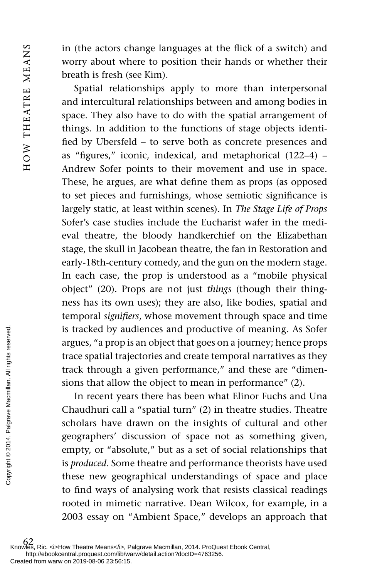in (the actors change languages at the flick of a switch) and worry about where to position their hands or whether their breath is fresh (see Kim).

Spatial relationships apply to more than interpersonal and intercultural relationships between and among bodies in space. They also have to do with the spatial arrangement of things. In addition to the functions of stage objects identified by Ubersfeld – to serve both as concrete presences and as "figures," iconic, indexical, and metaphorical  $(122-4)$  – Andrew Sofer points to their movement and use in space. These, he argues, are what define them as props (as opposed to set pieces and furnishings, whose semiotic significance is largely static, at least within scenes). In *The Stage Life of Props* Sofer's case studies include the Eucharist wafer in the medieval theatre, the bloody handkerchief on the Elizabethan stage, the skull in Jacobean theatre, the fan in Restoration and early- 18th-century comedy, and the gun on the modern stage. In each case, the prop is understood as a "mobile physical object" (20). Props are not just *things* (though their thingness has its own uses); they are also, like bodies, spatial and temporal *signifiers*, whose movement through space and time is tracked by audiences and productive of meaning. As Sofer argues, "a prop is an object that goes on a journey; hence props trace spatial trajectories and create temporal narratives as they track through a given performance," and these are "dimensions that allow the object to mean in performance" (2).

In recent years there has been what Elinor Fuchs and Una Chaudhuri call a "spatial turn" (2) in theatre studies. Theatre scholars have drawn on the insights of cultural and other geographers' discussion of space not as something given, empty, or "absolute," but as a set of social relationships that is *produced*. Some theatre and performance theorists have used these new geographical understandings of space and place to find ways of analysing work that resists classical readings rooted in mimetic narrative. Dean Wilcox, for example, in a 2003 essay on "Ambient Space," develops an approach that Fraction and the set of the set of the set of the set of the set of the set of the set of the set of the set of the set of the set of the set of the set of the set of the set of the set of the set of the set of the set of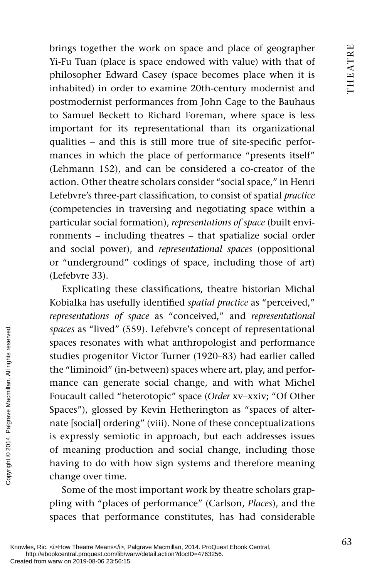brings together the work on space and place of geographer Yi-Fu Tuan (place is space endowed with value) with that of philosopher Edward Casey (space becomes place when it is inhabited) in order to examine 20th-century modernist and postmodernist performances from John Cage to the Bauhaus to Samuel Beckett to Richard Foreman, where space is less important for its representational than its organizational qualities – and this is still more true of site-specific performances in which the place of performance "presents itself" (Lehmann 152), and can be considered a co-creator of the action. Other theatre scholars consider "social space," in Henri Lefebvre's three-part classification, to consist of spatial *practice* (competencies in traversing and negotiating space within a particular social formation), *representations of space* (built environments – including theatres – that spatialize social order and social power), and *representational spaces* (oppositional or "underground" codings of space, including those of art) (Lefebvre 33).

Explicating these classifications, theatre historian Michal Kobialka has usefully identified *spatial practice* as "perceived," *representations of space* as "conceived," and *representational spaces* as "lived" (559). Lefebvre's concept of representational spaces resonates with what anthropologist and performance studies progenitor Victor Turner (1920–83) had earlier called the "liminoid" (in-between) spaces where art, play, and performance can generate social change, and with what Michel Foucault called "heterotopic" space ( *Order* xv–xxiv; "Of Other Spaces"), glossed by Kevin Hetherington as "spaces of alternate [social] ordering" (viii). None of these conceptualizations is expressly semiotic in approach, but each addresses issues of meaning production and social change, including those having to do with how sign systems and therefore meaning change over time. paces as "lived" (5<br>spaces resonates w<br>studies progenitor<br>the "liminoid" (in-l<br>mance can genera<br>Foucault called "he<br>Spaces"), glossed b<br>nate [social] orderir<br>is expressly semiot<br>of meaning produ<br>having to do with<br>change o

Some of the most important work by theatre scholars grappling with "places of performance" (Carlson, *Places*), and the spaces that performance constitutes, has had considerable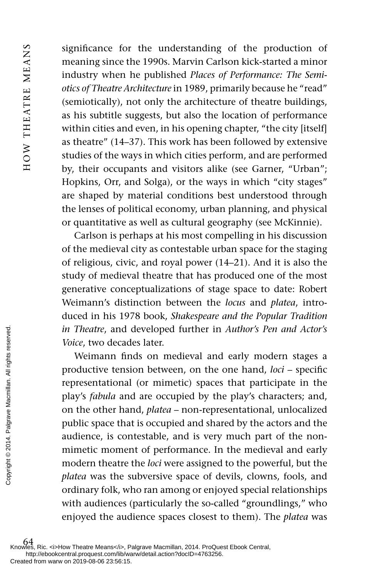significance for the understanding of the production of meaning since the 1990s. Marvin Carlson kick-started a minor industry when he published *Places of Performance: The Semiotics of Theatre Architecture* in 1989, primarily because he "read" (semiotically), not only the architecture of theatre buildings, as his subtitle suggests, but also the location of performance within cities and even, in his opening chapter, "the city [itself] as theatre" (14–37). This work has been followed by extensive studies of the ways in which cities perform, and are performed by, their occupants and visitors alike (see Garner, "Urban"; Hopkins, Orr, and Solga), or the ways in which "city stages" are shaped by material conditions best understood through the lenses of political economy, urban planning, and physical or quantitative as well as cultural geography (see McKinnie).

Carlson is perhaps at his most compelling in his discussion of the medieval city as contestable urban space for the staging of religious, civic, and royal power (14–21). And it is also the study of medieval theatre that has produced one of the most generative conceptualizations of stage space to date: Robert Weimann's distinction between the *locus* and *platea*, introduced in his 1978 book, *Shakespeare and the Popular Tradition in Theatre*, and developed further in *Author's Pen and Actor's Voice*, two decades later.

Weimann finds on medieval and early modern stages a productive tension between, on the one hand, *loci* – specific representational (or mimetic) spaces that participate in the play's *fabula* and are occupied by the play's characters; and, on the other hand, *platea* – non-representational, unlocalized public space that is occupied and shared by the actors and the audience, is contestable, and is very much part of the nonmimetic moment of performance. In the medieval and early modern theatre the *loci* were assigned to the powerful, but the *platea* was the subversive space of devils, clowns, fools, and ordinary folk, who ran among or enjoyed special relationships with audiences (particularly the so-called "groundlings," who enjoyed the audience spaces closest to them). The *platea* was From Freedom Weimann fin<br>
From Productive tensi<br>
From Productive tensi<br>
representational<br>
play's *fabula* and<br>
on the other han<br>
public space tha<br>
audience, is con<br>
mimetic momer<br>
modern theatre<br>
modern theatre<br> *platea*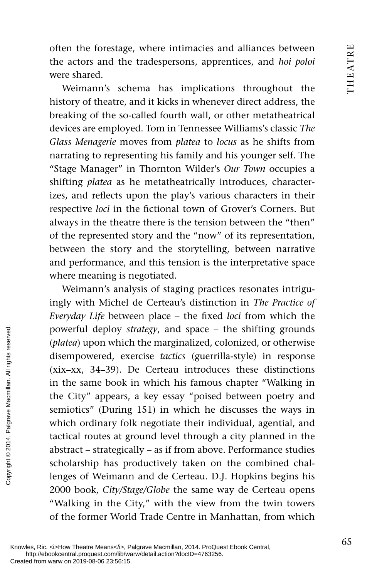often the forestage, where intimacies and alliances between the actors and the tradespersons, apprentices, and *hoi poloi* were shared.

Weimann's schema has implications throughout the history of theatre, and it kicks in whenever direct address, the breaking of the so-called fourth wall, or other metatheatrical devices are employed. Tom in Tennessee Williams's classic *The Glass Menagerie* moves from *platea* to *locus* as he shifts from narrating to representing his family and his younger self. The "Stage Manager" in Thornton Wilder's *Our Town* occupies a shifting *platea* as he metatheatrically introduces, characterizes, and reflects upon the play's various characters in their respective *loci* in the fictional town of Grover's Corners. But always in the theatre there is the tension between the "then" of the represented story and the "now" of its representation, between the story and the storytelling, between narrative and performance, and this tension is the interpretative space where meaning is negotiated.

Weimann's analysis of staging practices resonates intriguingly with Michel de Certeau's distinction in *The Practice of Everyday Life* between place - the fixed *loci* from which the powerful deploy *strategy*, and space – the shifting grounds ( *platea*) upon which the marginalized, colonized, or otherwise disempowered, exercise *tactics* (guerrilla-style) in response (xix–xx, 34–39). De Certeau introduces these distinctions in the same book in which his famous chapter "Walking in the City" appears, a key essay "poised between poetry and semiotics" (During 151) in which he discusses the ways in which ordinary folk negotiate their individual, agential, and tactical routes at ground level through a city planned in the abstract – strategically – as if from above. Performance studies scholarship has productively taken on the combined challenges of Weimann and de Certeau. D.J. Hopkins begins his 2000 book, *City/Stage/Globe* the same way de Certeau opens "Walking in the City," with the view from the twin towers of the former World Trade Centre in Manhattan, from which Proverful deploy si<br>
(*platea*) upon which<br>
disempowered, exc<br>
(xix-xx, 34-39). I<br>
in the same book is<br>
the City" appears,<br>
semiotics" (During<br>
which ordinary fol<br>
tactical routes at g<br>
abstract – strategica<br>
scholarship h

Knowles, Ric. <i>How Theatre Means</i>, Palgrave Macmillan, 2014. ProQuest Ebook Central, http://ebookcentral.proquest.com/lib/warw/detail.action?docID=4763256.<br>Created from warw on 2019-08-06 23:56:15.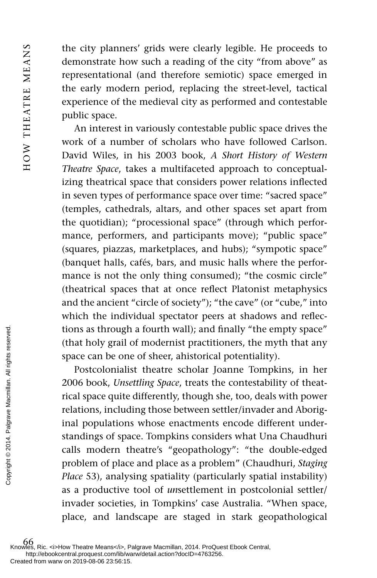the city planners' grids were clearly legible. He proceeds to demonstrate how such a reading of the city "from above" as representational (and therefore semiotic) space emerged in the early modern period, replacing the street-level, tactical experience of the medieval city as performed and contestable public space.

An interest in variously contestable public space drives the work of a number of scholars who have followed Carlson. David Wiles, in his 2003 book, *A Short History of Western Theatre Space*, takes a multifaceted approach to conceptualizing theatrical space that considers power relations inflected in seven types of performance space over time: "sacred space" (temples, cathedrals, altars, and other spaces set apart from the quotidian); "processional space" (through which performance, performers, and participants move); "public space" (squares, piazzas, marketplaces, and hubs); "sympotic space" (banquet halls, cafés, bars, and music halls where the performance is not the only thing consumed); "the cosmic circle" (theatrical spaces that at once reflect Platonist metaphysics and the ancient "circle of society"); "the cave" (or "cube," into which the individual spectator peers at shadows and reflections as through a fourth wall); and finally "the empty space" (that holy grail of modernist practitioners, the myth that any space can be one of sheer, ahistorical potentiality).

Postcolonialist theatre scholar Joanne Tompkins, in her 2006 book, *Unsettling Space*, treats the contestability of theatrical space quite differently, though she, too, deals with power relations, including those between settler/invader and Aboriginal populations whose enactments encode different understandings of space. Tompkins considers what Una Chaudhuri calls modern theatre's "geopathology": "the double-edged problem of place and place as a problem" (Chaudhuri, *Staging Place* 53), analysing spatiality (particularly spatial instability) as a productive tool of *un*settlement in postcolonial settler/ invader societies, in Tompkins' case Australia. "When space, place, and landscape are staged in stark geopathological From the settle from warw on 2019-08-06 23:56:15.<br>
Created from warw on 2019-08-06 23:56:15.<br>
Created from warw on 2019-08-06 23:56:15.<br>
Created from warw on 2019-08-06 23:56:15.<br>
Created from warw on 2019-08-06 23:56:15.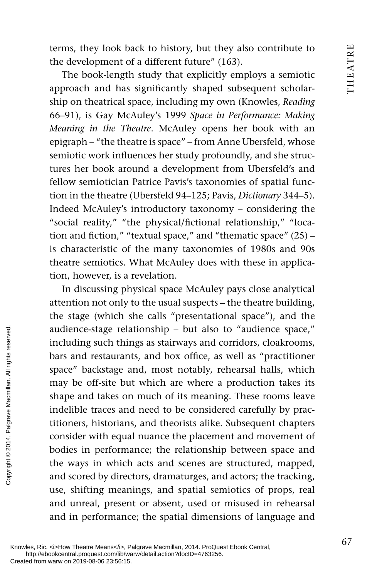terms, they look back to history, but they also contribute to the development of a different future" (163).

The book-length study that explicitly employs a semiotic approach and has significantly shaped subsequent scholarship on theatrical space, including my own (Knowles, *Reading* 66–91), is Gay McAuley's 1999 *Space in Performance: Making Meaning in the Theatre*. McAuley opens her book with an epigraph – "the theatre is space" – from Anne Ubersfeld, whose semiotic work influences her study profoundly, and she structures her book around a development from Ubersfeld's and fellow semiotician Patrice Pavis's taxonomies of spatial function in the theatre (Ubersfeld 94–125; Pavis, *Dictionary* 344–5). Indeed McAuley's introductory taxonomy – considering the "social reality," "the physical/fictional relationship," "location and fiction," "textual space," and "thematic space"  $(25)$  – is characteristic of the many taxonomies of 1980s and 90s theatre semiotics. What McAuley does with these in application, however, is a revelation.

In discussing physical space McAuley pays close analytical attention not only to the usual suspects – the theatre building, the stage (which she calls "presentational space"), and the audience-stage relationship – but also to "audience space," including such things as stairways and corridors, cloakrooms, bars and restaurants, and box office, as well as "practitioner space" backstage and, most notably, rehearsal halls, which may be off-site but which are where a production takes its shape and takes on much of its meaning. These rooms leave indelible traces and need to be considered carefully by practitioners, historians, and theorists alike. Subsequent chapters consider with equal nuance the placement and movement of bodies in performance; the relationship between space and the ways in which acts and scenes are structured, mapped, and scored by directors, dramaturges, and actors; the tracking, use, shifting meanings, and spatial semiotics of props, real and unreal, present or absent, used or misused in rehearsal and in performance; the spatial dimensions of language and Provided from warw on 2019-08-06 23:56:15.<br>
Expected from warw on 2019-08-06 23:56:15.<br>
Respectively, all rights reserved.<br>
Experimental and takes or indelible traces and titioners, historians<br>
consider with equal<br>
bodies

Knowles, Ric. <i>How Theatre Means</i>, Palgrave Macmillan, 2014. ProQuest Ebook Central, http://ebookcentral.proquest.com/lib/warw/detail.action?docID=4763256.<br>Created from warw on 2019-08-06 23:56:15.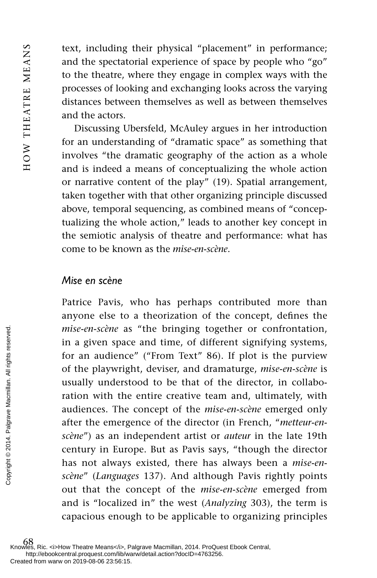text, including their physical "placement" in performance; and the spectatorial experience of space by people who "go" to the theatre, where they engage in complex ways with the processes of looking and exchanging looks across the varying distances between themselves as well as between themselves and the actors.

Discussing Ubersfeld, McAuley argues in her introduction for an understanding of "dramatic space" as something that involves "the dramatic geography of the action as a whole and is indeed a means of conceptualizing the whole action or narrative content of the play" (19). Spatial arrangement, taken together with that other organizing principle discussed above, temporal sequencing, as combined means of "conceptualizing the whole action," leads to another key concept in the semiotic analysis of theatre and performance: what has come to be known as the *mise-en-scène* .

#### *Mise en scène*

Patrice Pavis, who has perhaps contributed more than anyone else to a theorization of the concept, defines the *mise-en-scène* as "the bringing together or confrontation, in a given space and time, of different signifying systems, for an audience" ("From Text" 86). If plot is the purview of the playwright, deviser, and dramaturge, *mise-en-scène* is usually understood to be that of the director, in collaboration with the entire creative team and, ultimately, with audiences. The concept of the *mise-en-scène* emerged only after the emergence of the director (in French, " *metteur-enscène*") as an independent artist or *auteur* in the late 19th century in Europe. But as Pavis says, "though the director has not always existed, there has always been a *mise-enscène"* (*Languages* 137). And although Pavis rightly points out that the concept of the *mise-en-scène* emerged from and is "localized in" the west (*Analyzing* 303), the term is capacious enough to be applicable to organizing principles *The case of the playwright and is the complement*  $\frac{1}{2}$  and  $\frac{1}{2}$  and  $\frac{1}{2}$  and  $\frac{1}{2}$  and  $\frac{1}{2}$  and  $\frac{1}{2}$  and  $\frac{1}{2}$  and  $\frac{1}{2}$  and  $\frac{1}{2}$  and  $\frac{1}{2}$  and  $\frac{1}{2}$  and  $\frac{1}{2}$  and  $\$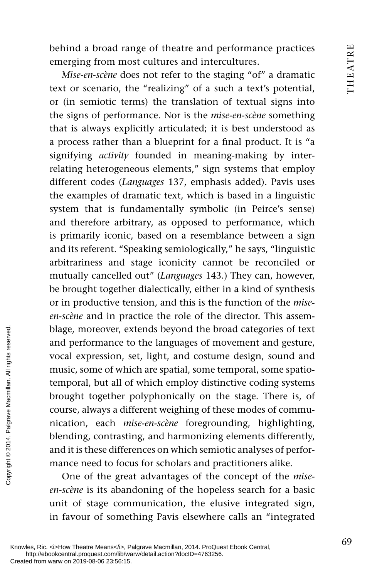behind a broad range of theatre and performance practices emerging from most cultures and intercultures.

*Mise-en-scène* does not refer to the staging "of" a dramatic text or scenario, the "realizing" of a such a text's potential, or (in semiotic terms) the translation of textual signs into the signs of performance. Nor is the *mise-en-scène* something that is always explicitly articulated; it is best understood as a process rather than a blueprint for a final product. It is "a signifying *activity* founded in meaning-making by interrelating heterogeneous elements," sign systems that employ different codes (*Languages* 137, emphasis added). Pavis uses the examples of dramatic text, which is based in a linguistic system that is fundamentally symbolic (in Peirce's sense) and therefore arbitrary, as opposed to performance, which is primarily iconic, based on a resemblance between a sign and its referent. "Speaking semiologically," he says, "linguistic arbitrariness and stage iconicity cannot be reconciled or mutually cancelled out" ( *Languages* 143.) They can, however, be brought together dialectically, either in a kind of synthesis or in productive tension, and this is the function of the *miseen-scène* and in practice the role of the director. This assemblage, moreover, extends beyond the broad categories of text and performance to the languages of movement and gesture, vocal expression, set, light, and costume design, sound and music, some of which are spatial, some temporal, some spatiotemporal, but all of which employ distinctive coding systems brought together polyphonically on the stage. There is, of course, always a different weighing of these modes of communication, each *mise-en-scène* foregrounding, highlighting, blending, contrasting, and harmonizing elements differently, and it is these differences on which semiotic analyses of performance need to focus for scholars and practitioners alike. Best and performance to vocal expression, s<br>
music, some of which<br>
temporal, but all of<br>
brought together<br>
genuse, always a difference<br>
difference Macmillan. All rights and it is these difference<br>
and it is these differen

One of the great advantages of the concept of the *miseen-scène* is its abandoning of the hopeless search for a basic unit of stage communication, the elusive integrated sign, in favour of something Pavis elsewhere calls an "integrated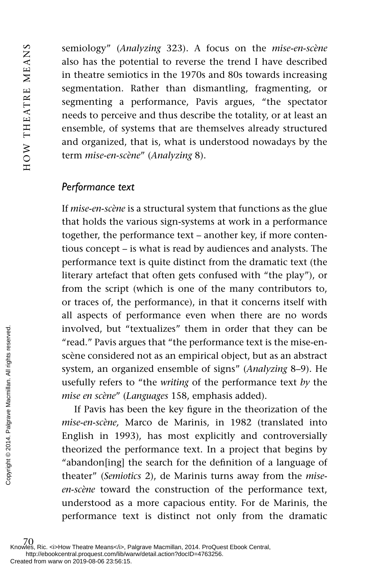semiology" ( *Analyzing* 323). A focus on the *mise-en-scène* also has the potential to reverse the trend I have described in theatre semiotics in the 1970s and 80s towards increasing segmentation. Rather than dismantling, fragmenting, or segmenting a performance, Pavis argues, "the spectator needs to perceive and thus describe the totality, or at least an ensemble, of systems that are themselves already structured and organized, that is, what is understood nowadays by the term *mise-en-scène"* (Analyzing 8).

### *Performance text*

If *mise-en-scène* is a structural system that functions as the glue that holds the various sign-systems at work in a performance together, the performance text – another key, if more contentious concept – is what is read by audiences and analysts. The performance text is quite distinct from the dramatic text (the literary artefact that often gets confused with "the play"), or from the script (which is one of the many contributors to, or traces of, the performance), in that it concerns itself with all aspects of performance even when there are no words involved, but "textualizes" them in order that they can be "read." Pavis argues that "the performance text is the mise-enscène considered not as an empirical object, but as an abstract system, an organized ensemble of signs" ( *Analyzing* 8–9). He usefully refers to "the *writing* of the performance text *by* the *mise en scène* " ( *Languages* 158, emphasis added).

If Pavis has been the key figure in the theorization of the *mise-en-scène,* Marco de Marinis, in 1982 (translated into English in 1993), has most explicitly and controversially theorized the performance text. In a project that begins by "abandon[ing] the search for the definition of a language of theater" ( *Semiotics* 2), de Marinis turns away from the *miseen-scène* toward the construction of the performance text, understood as a more capacious entity. For de Marinis, the performance text is distinct not only from the dramatic From an all reserved.<br>
From Warm of the Created from warw on 2019-08-06 23:56:15.<br>
From Warm of Created from warw on 2019-08-06 23:56:15.<br>
From Palgrave Macmillan. All rights reserved.<br>
From Warm of the Creative Macmillan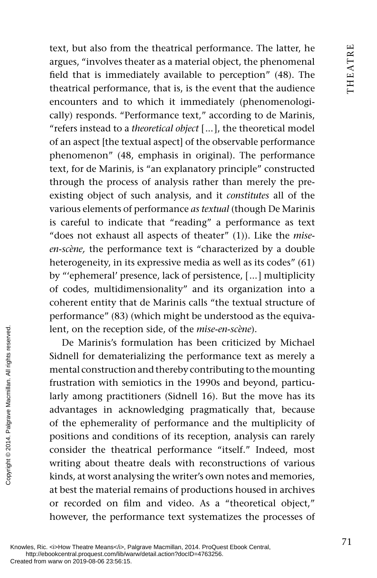text, but also from the theatrical performance. The latter, he argues, "involves theater as a material object, the phenomenal field that is immediately available to perception" (48). The theatrical performance, that is, is the event that the audience encounters and to which it immediately (phenomenologically) responds. "Performance text," according to de Marinis, "refers instead to a *theoretical object* [ ... ], the theoretical model of an aspect [the textual aspect] of the observable performance phenomenon" (48, emphasis in original). The performance text, for de Marinis, is "an explanatory principle" constructed through the process of analysis rather than merely the preexisting object of such analysis, and it *constitutes* all of the various elements of performance *as textual* (though De Marinis is careful to indicate that "reading" a performance as text "does not exhaust all aspects of theater" (1)). Like the *miseen-scène,* the performance text is "characterized by a double heterogeneity, in its expressive media as well as its codes" (61) by "'ephemeral' presence, lack of persistence, [ ... ] multiplicity of codes, multidimensionality" and its organization into a coherent entity that de Marinis calls "the textual structure of performance" (83) (which might be understood as the equivalent, on the reception side, of the *mise-en-scène*).

De Marinis's formulation has been criticized by Michael Sidnell for dematerializing the performance text as merely a mental construction and thereby contributing to the mounting frustration with semiotics in the 1990s and beyond, particularly among practitioners (Sidnell 16). But the move has its advantages in acknowledging pragmatically that, because of the ephemerality of performance and the multiplicity of positions and conditions of its reception, analysis can rarely consider the theatrical performance "itself." Indeed, most writing about theatre deals with reconstructions of various kinds, at worst analysing the writer's own notes and memories, at best the material remains of productions housed in archives or recorded on film and video. As a "theoretical object," however, the performance text systematizes the processes of From the reception of the reception of the reduced from warw on 2019-08-06 23:56:15.<br>
Knowles, Ric. <i>How Theated from warw on 2019-08-06 23:56:15.<br>
Created from warw on 2019-08-06 23:56:15.<br>
Created from warw on 2019-08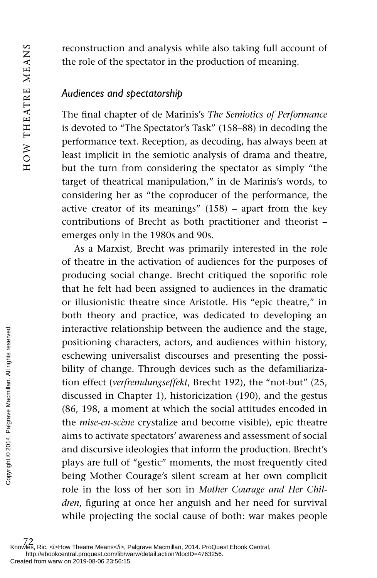reconstruction and analysis while also taking full account of the role of the spectator in the production of meaning.

### *Audiences and spectatorship*

The final chapter of de Marinis's *The Semiotics of Performance* is devoted to "The Spectator's Task" (158–88) in decoding the performance text. Reception, as decoding, has always been at least implicit in the semiotic analysis of drama and theatre, but the turn from considering the spectator as simply "the target of theatrical manipulation," in de Marinis's words, to considering her as "the coproducer of the performance, the active creator of its meanings" (158) – apart from the key contributions of Brecht as both practitioner and theorist – emerges only in the 1980s and 90s.

As a Marxist, Brecht was primarily interested in the role of theatre in the activation of audiences for the purposes of producing social change. Brecht critiqued the soporific role that he felt had been assigned to audiences in the dramatic or illusionistic theatre since Aristotle. His "epic theatre," in both theory and practice, was dedicated to developing an interactive relationship between the audience and the stage, positioning characters, actors, and audiences within history, eschewing universalist discourses and presenting the possibility of change. Through devices such as the defamiliarization effect ( *verfremdungseffekt*, Brecht 192), the "not-but" (25, discussed in Chapter 1), historicization (190), and the gestus (86, 198, a moment at which the social attitudes encoded in the *mise-en-scène* crystalize and become visible), epic theatre aims to activate spectators' awareness and assessment of social and discursive ideologies that inform the production. Brecht's plays are full of "gestic" moments, the most frequently cited being Mother Courage's silent scream at her own complicit role in the loss of her son in *Mother Courage and Her Children*, figuring at once her anguish and her need for survival while projecting the social cause of both: war makes people Exercise the miscless condition of the miscless respective the miscless of the miscless of the miscless reserved.<br>
The miscless reserved and discursive icles of the miscless reserved.<br>
The miscles reserved and discursive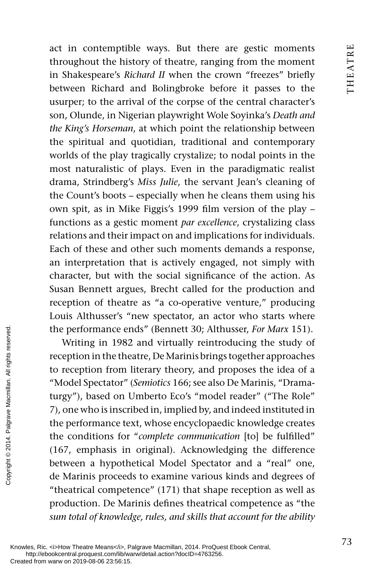act in contemptible ways. But there are gestic moments throughout the history of theatre, ranging from the moment in Shakespeare's *Richard II* when the crown "freezes" briefly between Richard and Bolingbroke before it passes to the usurper; to the arrival of the corpse of the central character's son, Olunde, in Nigerian playwright Wole Soyinka's *Death and the King's Horseman*, at which point the relationship between the spiritual and quotidian, traditional and contemporary worlds of the play tragically crystalize; to nodal points in the most naturalistic of plays. Even in the paradigmatic realist drama, Strindberg's *Miss Julie*, the servant Jean's cleaning of the Count's boots – especially when he cleans them using his own spit, as in Mike Figgis's 1999 film version of the play – functions as a gestic moment *par excellence*, crystalizing class relations and their impact on and implications for individuals. Each of these and other such moments demands a response, an interpretation that is actively engaged, not simply with character, but with the social significance of the action. As Susan Bennett argues, Brecht called for the production and reception of theatre as "a co-operative venture," producing Louis Althusser's "new spectator, an actor who starts where the performance ends" (Bennett 30; Althusser, *For Marx* 151).

Writing in 1982 and virtually reintroducing the study of reception in the theatre, De Marinis brings together approaches to reception from literary theory, and proposes the idea of a "Model Spectator" ( *Semiotics* 166; see also De Marinis, "Dramaturgy"), based on Umberto Eco's "model reader" ("The Role" 7), one who is inscribed in, implied by, and indeed instituted in the performance text, whose encyclopaedic knowledge creates the conditions for "complete communication [to] be fulfilled" (167, emphasis in original). Acknowledging the difference between a hypothetical Model Spectator and a "real" one, de Marinis proceeds to examine various kinds and degrees of "theatrical competence" (171) that shape reception as well as production. De Marinis defines theatrical competence as "the *sum total of knowledge, rules, and skills that account for the ability*  From the performance ernot the the toreception in the the toreception from 1<br>
"Model Spectator" turgy"), based on 1<br>
7), one who is inscripted<br>
as a served on 2<br>
The performance te:<br>
the conditions for<br>
(167, emphasis in

Knowles, Ric. <i>How Theatre Means</i>, Palgrave Macmillan, 2014. ProQuest Ebook Central, http://ebookcentral.proquest.com/lib/warw/detail.action?docID=4763256.<br>Created from warw on 2019-08-06 23:56:15.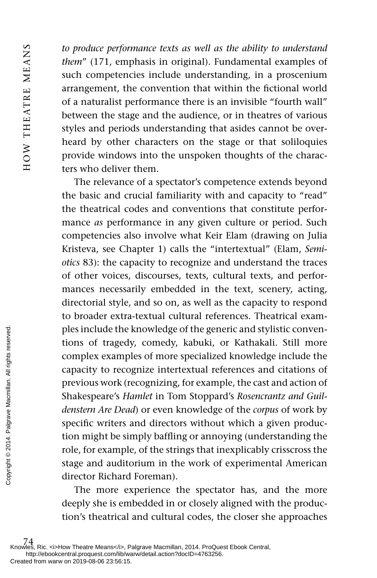HOW THEATRE MEANS HOW THEATRE MEANS

*to produce performance texts as well as the ability to understand them*" (171, emphasis in original). Fundamental examples of such competencies include understanding, in a proscenium arrangement, the convention that within the fictional world of a naturalist performance there is an invisible "fourth wall" between the stage and the audience, or in theatres of various styles and periods understanding that asides cannot be overheard by other characters on the stage or that soliloquies provide windows into the unspoken thoughts of the characters who deliver them.

The relevance of a spectator's competence extends beyond the basic and crucial familiarity with and capacity to "read" the theatrical codes and conventions that constitute performance *as* performance in any given culture or period. Such competencies also involve what Keir Elam (drawing on Julia Kristeva, see Chapter 1) calls the "intertextual" (Elam, *Semiotics* 83): the capacity to recognize and understand the traces of other voices, discourses, texts, cultural texts, and performances necessarily embedded in the text, scenery, acting, directorial style, and so on, as well as the capacity to respond to broader extra-textual cultural references. Theatrical examples include the knowledge of the generic and stylistic conventions of tragedy, comedy, kabuki, or Kathakali. Still more complex examples of more specialized knowledge include the capacity to recognize intertextual references and citations of previous work (recognizing, for example, the cast and action of Shakespeare's *Hamlet* in Tom Stoppard's *Rosencrantz and Guildenstern Are Dead*) or even knowledge of the *corpus* of work by specific writers and directors without which a given production might be simply baffling or annoying (understanding the role, for example, of the strings that inexplicably crisscross the stage and auditorium in the work of experimental American director Richard Foreman). The more created from warw on 2019-08-06 23:56:15.<br>
Created from warw on 2019-08-06 23:56:15.<br>
Created from warw on 2019-08-06 23:56:15.<br>
Created from warw on 2019-08-06 23:56:15.<br>
Created from warw on 2019-08-06 23:56:15

The more experience the spectator has, and the more deeply she is embedded in or closely aligned with the production's theatrical and cultural codes, the closer she approaches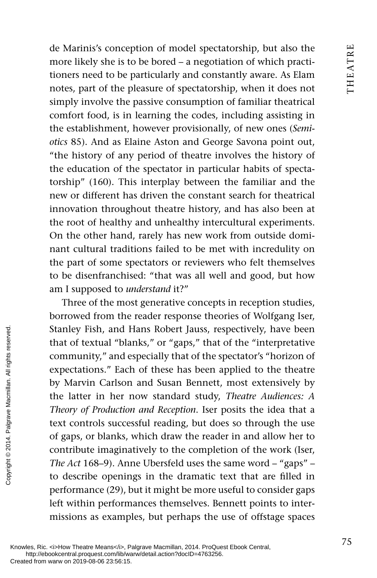de Marinis's conception of model spectatorship, but also the more likely she is to be bored – a negotiation of which practitioners need to be particularly and constantly aware. As Elam notes, part of the pleasure of spectatorship, when it does not simply involve the passive consumption of familiar theatrical comfort food, is in learning the codes, including assisting in the establishment, however provisionally, of new ones (*Semiotics* 85). And as Elaine Aston and George Savona point out, "the history of any period of theatre involves the history of the education of the spectator in particular habits of spectatorship" (160). This interplay between the familiar and the new or different has driven the constant search for theatrical innovation throughout theatre history, and has also been at the root of healthy and unhealthy intercultural experiments. On the other hand, rarely has new work from outside dominant cultural traditions failed to be met with incredulity on the part of some spectators or reviewers who felt themselves to be disenfranchised: "that was all well and good, but how am I supposed to *understand* it?"

Three of the most generative concepts in reception studies, borrowed from the reader response theories of Wolfgang Iser, Stanley Fish, and Hans Robert Jauss, respectively, have been that of textual "blanks," or "gaps," that of the "interpretative community," and especially that of the spectator's "horizon of expectations." Each of these has been applied to the theatre by Marvin Carlson and Susan Bennett, most extensively by the latter in her now standard study, *Theatre Audiences: A Theory of Production and Reception*. Iser posits the idea that a text controls successful reading, but does so through the use of gaps, or blanks, which draw the reader in and allow her to contribute imaginatively to the completion of the work (Iser, *The Act* 168–9). Anne Ubersfeld uses the same word – "gaps" – to describe openings in the dramatic text that are filled in performance (29), but it might be more useful to consider gaps left within performances themselves. Bennett points to intermissions as examples, but perhaps the use of offstage spaces Stanley Fish, and I<br>that of textual "bla<br>expectations." Each<br>community," and e<br>expectations." Each<br>the latter in her r<br>Theory of Production<br>text controls succe<br>of gaps, or blanks,<br>contribute imagina<br> $The Act 168-9$ ). Ann<br>to de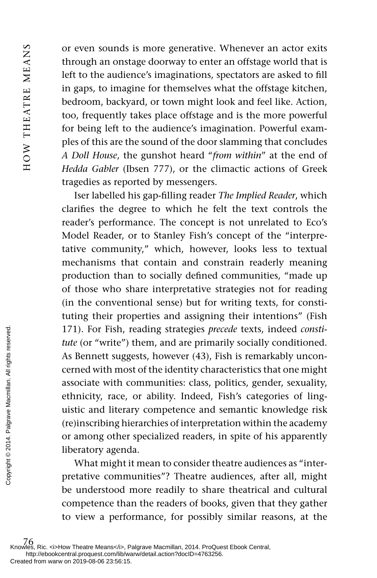or even sounds is more generative. Whenever an actor exits through an onstage doorway to enter an offstage world that is left to the audience's imaginations, spectators are asked to fill in gaps, to imagine for themselves what the offstage kitchen, bedroom, backyard, or town might look and feel like. Action, too, frequently takes place offstage and is the more powerful for being left to the audience's imagination. Powerful examples of this are the sound of the door slamming that concludes *A Doll House*, the gunshot heard " *from within*" at the end of *Hedda Gabler* (Ibsen 777), or the climactic actions of Greek tragedies as reported by messengers.

Iser labelled his gap-filling reader *The Implied Reader*, which clarifies the degree to which he felt the text controls the reader's performance. The concept is not unrelated to Eco's Model Reader, or to Stanley Fish's concept of the "interpretative community," which, however, looks less to textual mechanisms that contain and constrain readerly meaning production than to socially defined communities, "made up of those who share interpretative strategies not for reading (in the conventional sense) but for writing texts, for constituting their properties and assigning their intentions" (Fish 171). For Fish, reading strategies *precede* texts, indeed *constitute* (or "write") them, and are primarily socially conditioned. As Bennett suggests, however (43), Fish is remarkably unconcerned with most of the identity characteristics that one might associate with communities: class, politics, gender, sexuality, ethnicity, race, or ability. Indeed, Fish's categories of linguistic and literary competence and semantic knowledge risk (re)inscribing hierarchies of interpretation within the academy or among other specialized readers, in spite of his apparently liberatory agenda. From Experimental contractions associate with contractions associate with contractions associate with contractions associate with contractions associate with contractions of the difference management of the difference man

What might it mean to consider theatre audiences as "interpretative communities"? Theatre audiences, after all, might be understood more readily to share theatrical and cultural competence than the readers of books, given that they gather to view a performance, for possibly similar reasons, at the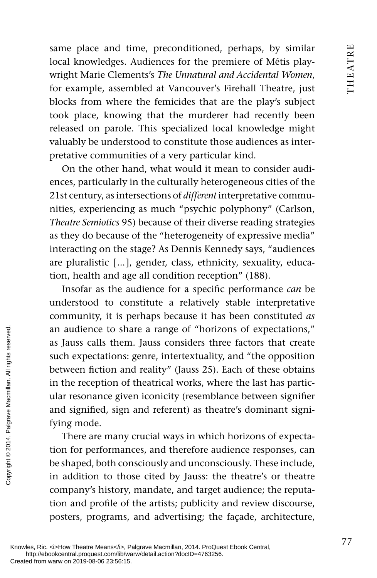same place and time, preconditioned, perhaps, by similar local knowledges. Audiences for the premiere of Métis playwright Marie Clements's *The Unnatural and Accidental Women* , for example, assembled at Vancouver's Firehall Theatre, just blocks from where the femicides that are the play's subject took place, knowing that the murderer had recently been released on parole. This specialized local knowledge might valuably be understood to constitute those audiences as interpretative communities of a very particular kind.

On the other hand, what would it mean to consider audiences, particularly in the culturally heterogeneous cities of the 21st century, as intersections of *different* interpretative communities, experiencing as much "psychic polyphony" (Carlson, *Theatre Semiotics* 95) because of their diverse reading strategies as they do because of the "heterogeneity of expressive media" interacting on the stage? As Dennis Kennedy says, "audiences are pluralistic [ ... ], gender, class, ethnicity, sexuality, education, health and age all condition reception" (188).

Insofar as the audience for a specific performance *can* be understood to constitute a relatively stable interpretative community, it is perhaps because it has been constituted *as* an audience to share a range of "horizons of expectations," as Jauss calls them. Jauss considers three factors that create such expectations: genre, intertextuality, and "the opposition between fiction and reality" (Jauss 25). Each of these obtains in the reception of theatrical works, where the last has particular resonance given iconicity (resemblance between signifier and signified, sign and referent) as theatre's dominant signifying mode. From an andience to shall as a summer of the second of the second from an in the reception of the reception of the resonance give and signified, sign fying mode. There are many tion for performance  $\frac{1}{2}$  rights  $\frac{1}{$ 

There are many crucial ways in which horizons of expectation for performances, and therefore audience responses, can be shaped, both consciously and unconsciously. These include, in addition to those cited by Jauss: the theatre's or theatre company's history, mandate, and target audience; the reputation and profile of the artists; publicity and review discourse, posters, programs, and advertising; the façade, architecture,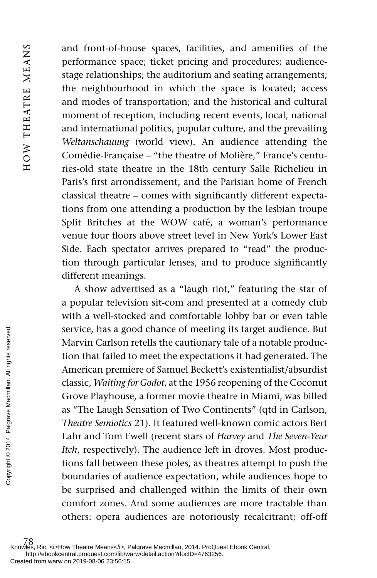and front-of-house spaces, facilities, and amenities of the performance space; ticket pricing and procedures; audiencestage relationships; the auditorium and seating arrangements; the neighbourhood in which the space is located; access and modes of transportation; and the historical and cultural moment of reception, including recent events, local, national and international politics, popular culture, and the prevailing *Weltanschauung* (world view). An audience attending the Comédie-Française – "the theatre of Molière," France's centuries-old state theatre in the 18th century Salle Richelieu in Paris's first arrondissement, and the Parisian home of French classical theatre – comes with significantly different expectations from one attending a production by the lesbian troupe Split Britches at the WOW café, a woman's performance venue four floors above street level in New York's Lower East Side. Each spectator arrives prepared to "read" the production through particular lenses, and to produce significantly different meanings.

A show advertised as a "laugh riot," featuring the star of a popular television sit-com and presented at a comedy club with a well-stocked and comfortable lobby bar or even table service, has a good chance of meeting its target audience. But Marvin Carlson retells the cautionary tale of a notable production that failed to meet the expectations it had generated. The American premiere of Samuel Beckett's existentialist/absurdist classic, *Waiting for Godot*, at the 1956 reopening of the Coconut Grove Playhouse, a former movie theatre in Miami, was billed as "The Laugh Sensation of Two Continents" (qtd in Carlson, *Theatre Semiotics* 21). It featured well-known comic actors Bert Lahr and Tom Ewell (recent stars of *Harvey* and *The Seven-Year Itch*, respectively). The audience left in droves. Most productions fall between these poles, as theatres attempt to push the boundaries of audience expectation, while audiences hope to be surprised and challenged within the limits of their own comfort zones. And some audiences are more tractable than others: opera audiences are notoriously recalcitrant; off-off Exercice, has a go<br>
service, has a go<br>
tion that failed t<br>
dissic, Waiting for<br>
dissic, Waiting for Grove Playhouse<br>
as "The Laugh S<br> *Theatre Semiotics*<br>
Lahr and Tom E<br> *Itch*, respectively<br>
tions fall betwee<br>
boundarie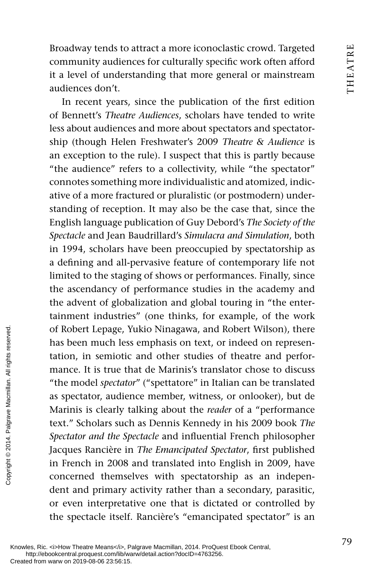Broadway tends to attract a more iconoclastic crowd. Targeted community audiences for culturally specific work often afford it a level of understanding that more general or mainstream audiences don't.

In recent years, since the publication of the first edition of Bennett's *Theatre Audiences*, scholars have tended to write less about audiences and more about spectators and spectatorship (though Helen Freshwater's 2009 *Theatre & Audience* is an exception to the rule). I suspect that this is partly because "the audience" refers to a collectivity, while "the spectator" connotes something more individualistic and atomized, indicative of a more fractured or pluralistic (or postmodern) understanding of reception. It may also be the case that, since the English language publication of Guy Debord's *The Society of the Spectacle* and Jean Baudrillard's *Simulacra and Simulation*, both in 1994, scholars have been preoccupied by spectatorship as a defining and all-pervasive feature of contemporary life not limited to the staging of shows or performances. Finally, since the ascendancy of performance studies in the academy and the advent of globalization and global touring in "the entertainment industries" (one thinks, for example, of the work of Robert Lepage, Yukio Ninagawa, and Robert Wilson), there has been much less emphasis on text, or indeed on representation, in semiotic and other studies of theatre and performance. It is true that de Marinis's translator chose to discuss "the model *spectator*" ("spettatore" in Italian can be translated as spectator, audience member, witness, or onlooker), but de Marinis is clearly talking about the *reader* of a "performance text." Scholars such as Dennis Kennedy in his 2009 book *The Spectator and the Spectacle* and influential French philosopher Jacques Rancière in *The Emancipated Spectator*, first published in French in 2008 and translated into English in 2009, have concerned themselves with spectatorship as an independent and primary activity rather than a secondary, parasitic, or even interpretative one that is dictated or controlled by the spectacle itself. Rancière's "emancipated spectator" is an From Warm of Robert Lepage, Y<br>
has been much less<br>
tation, in semiotic<br>
mance. It is true the<br>
"the model *spectato*<br>
as spectator, audier<br>
Marinis is clearly t<br>
text." Scholars such<br> *Spectator and the Sp*<br>
Jacques Ranci